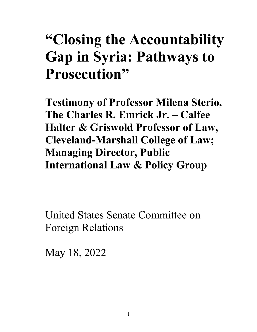# **"Closing the Accountability Gap in Syria: Pathways to Prosecution"**

**Testimony of Professor Milena Sterio, The Charles R. Emrick Jr. – Calfee Halter & Griswold Professor of Law, Cleveland-Marshall College of Law; Managing Director, Public International Law & Policy Group**

United States Senate Committee on Foreign Relations

May 18, 2022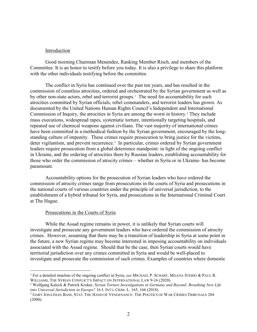### Introduction

Good morning Chairman Menendez, Ranking Member Risch, and members of the Committee. It is an honor to testify before you today. It is also a privilege to share this platform with the other individuals testifying before the committee.

The conflict in Syria has continued over the past ten years, and has resulted in the commission of countless atrocities, ordered and orchestrated by the Syrian government as well as by other non-state actors, rebel and terrorist groups.<sup>[1](#page-1-0)</sup> The need for accountability for such atrocities committed by Syrian officials, rebel commanders, and terrorist leaders has grown. As documented by the United Nations Human Rights Council's Independent and International Commission of Inquiry, the atrocities in Syria are among the worst in history.<sup>[2](#page-1-1)</sup> They include mass executions, widespread rapes, systematic torture, intentionally targeting hospitals, and repeated use of chemical weapons against civilians. The vast majority of international crimes have been committed in a methodical fashion by the Syrian government, encouraged by the longstanding culture of impunity. These crimes require prosecution to bring justice for the victims, deter vigilantism, and prevent recurrence.<sup>[3](#page-1-2)</sup> In particular, crimes ordered by Syrian government leaders require prosecution from a global deterrence standpoint: in light of the ongoing conflict in Ukraine, and the ordering of atrocities there by Russian leaders, establishing accountability for those who order the commission of atrocity crimes – whether in Syria or in Ukraine- has become paramount.

Accountability options for the prosecution of Syrian leaders who have ordered the commission of atrocity crimes range from prosecutions in the courts of Syria and prosecutions in the national courts of various countries under the principle of universal jurisdiction, to the establishment of a hybrid tribunal for Syria, and prosecutions in the International Criminal Court at The Hague.

#### Prosecutions in the Courts of Syria

 $\overline{a}$ 

While the Assad regime remains in power, it is unlikely that Syrian courts will investigate and prosecute any government leaders who have ordered the commission of atrocity crimes. However, assuming that there may be a transition of leadership in Syria at some point in the future, a new Syrian regime may become interested in imposing accountability on individuals associated with the Assad regime. Should that be the case, then Syrian courts would have territorial jurisdiction over any crimes committed in Syria and would be well-placed to investigate and prosecute the commission of such crimes. Examples of countries where domestic

<span id="page-1-0"></span><sup>1</sup> For a detailed timeline of the ongoing conflict in Syria, *see* MICHAEL P. SCHARF, MILENA STERIO & PAUL R. WILLIAMS, THE SYRIAN CONFLICT'S IMPACT ON INTERNATIONAL LAW 9-16 (2020).

<span id="page-1-1"></span><sup>2</sup> Wolfgang Kaleck & Patrick Kroker, *Syrian Torture Investigations in Germany and Beyond: Breathing New Life into Universal Jurisdiction in Europe?* 16 J. INT'L CRIM. L. 165, 166 (2018).

<span id="page-1-2"></span><sup>3</sup> GARY JONATHAN BASS, STAY THE HAND OF VENGENANCE: THE POLITICS OF WAR CRIMES TRIBUNALS 284 (2000).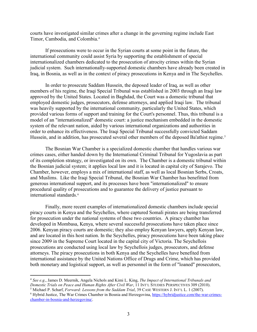courts have investigated similar crimes after a change in the governing regime include East Timor, Cambodia, and Colombia.[4](#page-2-0)

If prosecutions were to occur in the Syrian courts at some point in the future, the international community could assist Syria by supporting the establishment of special internationalized chambers dedicated to the prosecution of atrocity crimes within the Syrian judicial system. Such internationally-supported domestic chambers have already been created in Iraq, in Bosnia, as well as in the context of piracy prosecutions in Kenya and in The Seychelles.

In order to prosecute Saddam Hussein, the deposed leader of Iraq, as well as other members of his regime, the Iraqi Special Tribunal was established in 2003 through an Iraqi law approved by the United States. Located in Baghdad, the Court was a domestic tribunal that employed domestic judges, prosecutors, defense attorneys, and applied Iraqi law. The tribunal was heavily supported by the international community, particularly the United States, which provided various forms of support and training for the Court's personnel. Thus, this tribunal is a model of an "internationalized" domestic court: a justice mechanism embedded in the domestic system of the relevant nation, aided by various international organizations and authorities in order to enhance its effectiveness. The Iraqi Special Tribunal successfully convicted Saddam Hussein, and in addition, has prosecuted several other members of the deposed Ba'athist regime.<sup>[5](#page-2-1)</sup>

The Bosnian War Chamber is a specialized domestic chamber that handles various war crimes cases, either handed down by the International Criminal Tribunal for Yugoslavia as part of its completion strategy, or investigated on its own. The Chamber is a domestic tribunal within the Bosnian judicial system; it applies local law and it is located in capital city of Sarajevo. The Chamber, however, employs a mix of international staff, as well as local Bosnian Serbs, Croats, and Muslims. Like the Iraqi Special Tribunal, the Bosnian War Chamber has benefitted from generous international support, and its processes have been "internationalized" to ensure procedural quality of prosecutions and to guarantee the delivery of justice pursuant to international standards.<sup>[6](#page-2-2)</sup>

Finally, more recent examples of internationalized domestic chambers include special piracy courts in Kenya and the Seychelles, where captured Somali pirates are being transferred for prosecution under the national systems of these two countries. A piracy chamber has developed in Mombasa, Kenya, where several successful prosecutions have taken place since 2006. Kenyan piracy courts are domestic; they also employ Kenyan lawyers, apply Kenyan law, and are located in this host nation. In the Seychelles, piracy prosecutions have been taking place since 2009 in the Supreme Court located in the capital city of Victoria. The Seychellois prosecutions are conducted using local law by Seychellois judges, prosecutors, and defense attorneys. The piracy prosecutions in both Kenya and the Seychelles have benefited from international assistance by the United Nations Office of Drugs and Crime, which has provided both monetary and logistical support, as well as personnel in the form of "loaned" prosecutors,

<span id="page-2-0"></span><sup>4</sup> *See e.g*., James D. Meernik, Angela Nichols and Kimi L. King, *The Impact of International Tribunals and Domestic Trials on Peace and Human Rights After Civil War*, 11 INT'L STUDIES PERSPECTIVES 309 (2010).

<span id="page-2-1"></span><sup>&</sup>lt;sup>5</sup> Michael P. Scharf, *Forward: Lessons from the Saddam Trial*, 39 CASE WESTERN J. INT'L L. 1 (2007).<br><sup>6</sup> Hybrid Justice, The War Crimes Chamber in Bosnia and Herzegovina[, https://hybridjustice.com/the-war-crimes-](https://hybridjustice.com/the-war-crimes-chamber-in-bosnia-and-herzegovina/)

<span id="page-2-2"></span>[chamber-in-bosnia-and-herzegovina/.](https://hybridjustice.com/the-war-crimes-chamber-in-bosnia-and-herzegovina/)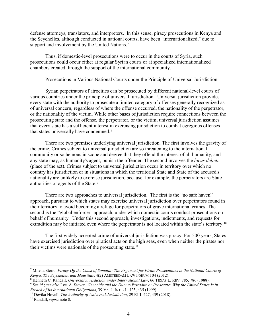defense attorneys, translators, and interpreters. In this sense, piracy prosecutions in Kenya and the Seychelles, although conducted in national courts, have been "internationalized," due to support and involvement by the United Nations.<sup>[7](#page-3-0)</sup>

Thus, if domestic-level prosecutions were to occur in the courts of Syria, such prosecutions could occur either at regular Syrian courts or at specialized internationalized chambers created through the support of the international community.

#### Prosecutions in Various National Courts under the Principle of Universal Jurisdiction

Syrian perpetrators of atrocities can be prosecuted by different national-level courts of various countries under the principle of universal jurisdiction. Universal jurisdiction provides every state with the authority to prosecute a limited category of offenses generally recognized as of universal concern, regardless of where the offense occurred, the nationality of the perpetrator, or the nationality of the victim. While other bases of jurisdiction require connections between the prosecuting state and the offense, the perpetrator, or the victim, universal jurisdiction assumes that every state has a sufficient interest in exercising jurisdiction to combat egregious offenses that states universally have condemned.<sup>[8](#page-3-1)</sup>

There are two premises underlying universal jurisdiction. The first involves the gravity of the crime. Crimes subject to universal jurisdiction are so threatening to the international community or so heinous in scope and degree that they offend the interest of all humanity, and any state may, as humanity's agent, punish the offender. The second involves the *locus delicti* (place of the act). Crimes subject to universal jurisdiction occur in territory over which no country has jurisdiction or in situations in which the territorial State and State of the accused's nationality are unlikely to exercise jurisdiction, because, for example, the perpetrators are State authorities or agents of the State.<sup>[9](#page-3-2)</sup>

There are two approaches to universal jurisdiction. The first is the "no safe haven" approach, pursuant to which states may exercise universal jurisdiction over perpetrators found in their territory to avoid becoming a refuge for perpetrators of grave international crimes. The second is the "global enforcer" approach, under which domestic courts conduct prosecutions on behalf of humanity. Under this second approach, investigations, indictments, and requests for extradition may be initiated even where the perpetrator is not located within the state's territory.<sup>[10](#page-3-3)</sup>

The first widely accepted crime of universal jurisdiction was piracy. For 500 years, States have exercised jurisdiction over piratical acts on the high seas, even when neither the pirates nor their victims were nationals of the prosecuting state.<sup>11</sup>

<span id="page-3-0"></span><sup>7</sup> Milena Sterio, *Piracy Off the Coast of Somalia: The Argument for Pirate Prosecutions in the National Courts of Kenya, The Seychelles, and Mauritius*, 4(2) AMSTERDAM LAW FORUM 104 (2012).

<span id="page-3-1"></span><sup>8</sup> Kenneth C. Randall, *Universal Jurisdiction under International Law*, 66 TEXAS L. REV. 785, 786 (1988).

<span id="page-3-2"></span><sup>9</sup> *See id*.; *see also* Lee. A. Steven, *Genocide and the Duty to Extradite or Prosecute: Why the United States Is in Breach of Its International Obligations*, 39 VA. J. INT'L L. 425, 435 (1999).

<span id="page-3-3"></span><sup>10</sup> Devika Hovell, *The Authority of Universal Jurisdiction*, 29 EJIL 427, 439 (2018).

<span id="page-3-4"></span><sup>11</sup> Randall, *supra* note 8.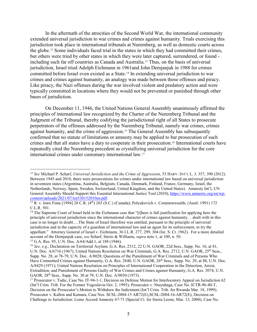In the aftermath of the atrocities of the Second World War, the international community extended universal jurisdiction to war crimes and crimes against humanity. Trials exercising this jurisdiction took place in international tribunals at Nuremberg, as well as domestic courts across the globe.[12](#page-4-0) Some individuals faced trial in the states in which they had committed their crimes, but others were tried by other states in which they were later captured, surrendered, or found including such far off countries as Canada and Australia.[13](#page-4-1) Thus, on the basis of universal jurisdiction, Israel tried Adolph Eichmann in 1961and John Demjanjuk in 1988 for crimes committed before Israel even existed as a State.[14](#page-4-2) In extending universal jurisdiction to war crimes and crimes against humanity, an analogy was made between those offenses and piracy. Like piracy, the Nazi offenses during the war involved violent and predatory action and were typically committed in locations where they would not be prevented or punished through other bases of jurisdiction.

On December 11, 1946, the United Nations General Assembly unanimously affirmed the principles of international law recognized by the Charter of the Nuremberg Tribunal and the Judgment of the Tribunal, thereby codifying the jurisdictional right of all States to prosecute perpetrators of the offenses addressed by the Nuremberg Tribunal, namely war crimes, crimes against humanity, and the crime of aggression.<sup>15</sup> The General Assembly has subsequently confirmed that no statute of limitations or amnesty may be applied to bar prosecution of such crimes and that all states have a duty to cooperate in their prosecution.[16](#page-4-4) International courts have repeatedly cited the Nuremberg precedent as crystallizing universal jurisdiction for the core international crimes under customary international law.[17](#page-4-5) 

<span id="page-4-0"></span><sup>12</sup> *See* Michael P. Scharf, *Universal Jurisdiction and the Crime of Aggression*, 53 HARV. INT'L L. J. 357, 390 (2012). Between 1945 and 2010, there were prosecutions for crimes under international law based on universal jurisdiction in seventeen states (Argentina, Australia, Belgium, Canada, Denmark, Finland, France, Germany, Israel, the Netherlands, Norway, Spain, Sweden, Switzerland, United Kingdom, and the United States). Amnesty Int'l, UN General Assembly Should Support this Essential International Justice Tool (2010), https://www.amnesty.org/en/wp-<br>content/uploads/2021/07/ior530152010en.pdf.

<span id="page-4-1"></span><sup>&</sup>lt;sup>13</sup> R. v. Imre Finta [1994] 28 C.R. (4<sup>th</sup>) 265 (S.C.) (Canada); Polyukovich v. Commonwealth, (Austl. 1991) 172 C.L.R. 501.

<span id="page-4-2"></span><sup>&</sup>lt;sup>14</sup> The Supreme Court of Israel held in the Eichmann case that "[t]here is full justification for applying here the principle of universal jurisdiction since the international character of crimes against humanity… dealt with in this case is no longer in doubt….The State of Israel therefore was entitled, pursuant to the principle of universal jurisdiction and in the capacity of a guardian of international law and an agent for its enforcement, to try the appellant." Attorney General of Israel v. Eichmann, 36 I.L.R. 277, 299, 304 (Isr. S. Ct. 1962). For a more detailed account of the Demjanjuk case, *see* Scharf, Sterio & Williams, *supra* note 1, at 100, n. 50.

<span id="page-4-3"></span><sup>15</sup> G.A. Res. 95, U.N. Doc. A/64/Add.1, at 188 (1946).

<span id="page-4-4"></span><sup>16</sup> *See, e.g*., Declaration on Territorial Asylum, G.A. Res. 2312, 22 U.N. GAOR, 22d Sess., Supp. No. 16, at 81, U.N. Doc. A/6716 (1967); United Nations Resolution on War Criminals, G.A. Res. 2712, U.N. GAOR, 25<sup>th</sup> Sess., Supp. No. 28, at 78-79, U.N. Doc. A/8028; Questions of the Punishment of War Criminals and of Persons Who Have Committed Crimes against Humanity, G.A. Res. 2840, U.N. GAOR, 26<sup>th</sup> Sess., Supp. No. 29, at 88, U.N. Doc. A/8429 (1971); United Nations Resolution on Principles of International Cooperation in the Detection, Arrest, Extradition, and Punishment of Persons Guilty of War Crimes and Crimes against Humanity, G.A. Res. 3074, U.N. GAOR, 28<sup>th</sup> Sess., Supp. No. 30 at 79, U.N. Doc. A/9030 (1973).<br><sup>17</sup> Prosecutor v. Tadic, Case No. IT-94-1-1, Decision on Defense Motion for Interlocutory Appeal on Jurisdiction 62

<span id="page-4-5"></span><sup>(</sup>Int'l Crim. Trib. For the Former Yugoslavia Oct. 2, 1995); Prosecutor v. Ntuyuhaga, Case No. ICTR-96-40-T, Decision on the Prosecutor's Motion to Withdraw the Indictment (Int'l Crim. Trib. for Rwanda Mar. 18, 1999); Prosecutor v. Kallon and Kamara, Case Nos. SCSL-2004-15 AR72(E), SCSL-2004-16-AR72(E), Decision on Challenge to Jurisdiction: Lome Accord Amnesty 67-71 (Special Ct. for Sierra Leone, Mar. 13, 2004); Case No.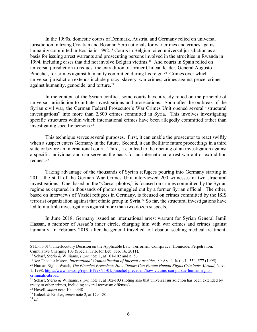In the 1990s, domestic courts of Denmark, Austria, and Germany relied on universal jurisdiction in trying Croatian and Bosnian Serb nationals for war crimes and crimes against humanity committed in Bosnia in 1992.<sup>18</sup> Courts in Belgium cited universal jurisdiction as a basis for issuing arrest warrants and prosecuting persons involved in the atrocities in Rwanda in 1994, including cases that did not involve Belgian victims[.19](#page-5-1) And courts in Spain relied on universal jurisdiction to request the extradition of former Chilean leader, General Augusto Pinochet, for crimes against humanity committed during his reign.<sup>20</sup> Crimes over which universal jurisdiction extends include piracy, slavery, war crimes, crimes against peace, crimes against humanity, genocide, and torture.<sup>[21](#page-5-3)</sup>

In the context of the Syrian conflict, some courts have already relied on the principle of universal jurisdiction to initiate investigations and prosecutions. Soon after the outbreak of the Syrian civil war, the German Federal Prosecutor's War Crimes Unit opened several "structural investigations" into more than 2,800 crimes committed in Syria. This involves investigating specific structures within which international crimes have been allegedly committed rather than investigating specific persons.[22](#page-5-4)

This technique serves several purposes. First, it can enable the prosecutor to react swiftly when a suspect enters Germany in the future. Second, it can facilitate future proceedings in a third state or before an international court. Third, it can lead to the opening of an investigation against a specific individual and can serve as the basis for an international arrest warrant or extradition request.[23](#page-5-5) 

Taking advantage of the thousands of Syrian refugees pouring into Germany starting in 2011, the staff of the German War Crimes Unit interviewed 200 witnesses in two structural investigations. One, based on the "Caesar photos," is focused on crimes committed by the Syrian regime as captured in thousands of photos smuggled out by a former Syrian official. The other, based on interviews of Yazidi refugees in Germany, is focused on crimes committed by the ISIS terrorist organization against that ethnic group in Syria.[24](#page-5-6) So far, the structural investigations have led to multiple investigations against more than two dozen suspects.

In June 2018, Germany issued an international arrest warrant for Syrian General Jamil Hassan, a member of Assad's inner circle, charging him with war crimes and crimes against humanity. In February 2019, after the general travelled to Lebanon seeking medical treatment,

STL-11-01/1 Interlocutory Decision on the Applicable Law: Terrorism, Conspiracy, Homicide, Perpetration,

<span id="page-5-0"></span>Cumulative Charging 103 (Special Trib. for Leb. Feb. 16, 2011).<br><sup>18</sup> Scharf, Sterio & Williams, *supra* note 1, at 101-102 and n. 56.

<span id="page-5-1"></span><sup>&</sup>lt;sup>19</sup> See Theodor Meron, *International Criminalization of Internal Atrocities*, 89 AM. J. INT'L L. 554, 577 (1995).<br><sup>20</sup> Human Rights Watch, *The Pinochet Precedent: How Victims Can Pursue Human Rights Criminals Abroad*,

<span id="page-5-2"></span><sup>1, 1998,</sup> [https://www.hrw.org/report/1998/11/01/pinochet-precedent/how-victims-can-pursue-human-rights-](https://www.hrw.org/report/1998/11/01/pinochet-precedent/how-victims-can-pursue-human-rights-criminals-abroad)

<span id="page-5-3"></span>[criminals-abroad.](https://www.hrw.org/report/1998/11/01/pinochet-precedent/how-victims-can-pursue-human-rights-criminals-abroad) 21 Scharf, Sterio & Williams, *supra* note 1, at 102-103 (noting also that universal jurisdiction has been extended by treaty to other crimes, including several terrorism offenses).

<span id="page-5-4"></span><sup>22</sup> Hovell, *supra* note 10, at 448.

<span id="page-5-5"></span><sup>23</sup> Kaleck & Kroker, *supra* note 2, at 179-180.

<span id="page-5-6"></span><sup>24</sup> *Id*.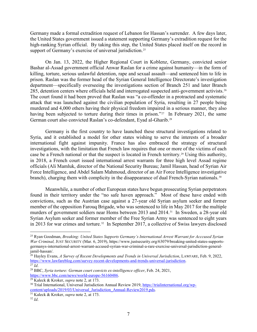Germany made a formal extradition request of Lebanon for Hassan's surrender. A few days later, the United States government issued a statement supporting Germany's extradition request for the high-ranking Syrian official. By taking this step, the United States placed itself on the record in support of Germany's exercise of universal jurisdiction.<sup>[25](#page-6-0)</sup>

On Jan. 13, 2022, the Higher Regional Court in Koblenz, Germany, convicted senior Bashar al-Assad government official Anwar Raslan for a crime against humanity—in the form of killing, torture, serious unlawful detention, rape and sexual assault—and sentenced him to life in prison. Raslan was the former head of the Syrian General Intelligence Directorate's investigation department—specifically overseeing the investigations section of Branch 251 and later Branch 285, detention centers where officials held and interrogated suspected anti-government activists.[26](#page-6-1) The court found it had been proved that Raslan was "a co-offender in a protracted and systematic attack that was launched against the civilian population of Syria, resulting in 27 people being murdered and 4,000 others having their physical freedom impaired in a serious manner, they also having been subjected to torture during their times in prison."<sup>[27](#page-6-2)</sup> In February 2021, the same German court also convicted Raslan's co-defendant, Eyad al-Gharib.[28](#page-6-3) 

Germany is the first country to have launched these structural investigations related to Syria, and it established a model for other states wishing to serve the interests of a broader international fight against impunity. France has also embraced the strategy of structural investigations, with the limitation that French law requires that one or more of the victims of each case be a French national or that the suspect is located in French territory.[29](#page-6-4) Using this authority, in 2018, a French court issued international arrest warrants for three high level Assad regime officials (Ali Mamluk, director of the National Security Bureau; Jamil Hassan, head of Syrian Air Force Intelligence, and Abdel Salam Mahmoud, director of an Air Force Intelligence investigative branch), charging them with complicity in the disappearance of dual French-Syrian nationals.<sup>[30](#page-6-5)</sup>

Meanwhile, a number of other European states have begun prosecuting Syrian perpetrators found in their territory under the "no safe haven approach." Most of these have ended with convictions, such as the Austrian case against a 27-year old Syrian asylum seeker and former member of the opposition Farouq Brigade, who was sentenced to life in May 2017 for the multiple murders of government soldiers near Homs between 2013 and 2014.[31](#page-6-6) In Sweden, a 28-year old Syrian Asylum seeker and former member of the Free Syrian Army was sentenced to eight years in 2013 for war crimes and torture.<sup>32</sup> In September 2017, a collective of Swiss lawyers disclosed

<span id="page-6-0"></span><sup>25</sup> Ryan Goodman, *Breaking: United States Supports Germany's International Arrest Warrant for Acccused Syrian War Criminal,* JUST SECURITY (Mar. 6, 2019), https://www.justsecurity.org/63079/breaking-united-states-supportsgermanys-international-arrest-warrant-accused-syrian-war-criminal-a-rare-exercise-universal-jurisdiction-general-

<span id="page-6-1"></span><sup>&</sup>lt;sup>26</sup> Hayley Evans, *A Survey of Recent Developments and Trends in Universal Jurisdiction*, LAWFARE, Feb. 9, 2022, https://www.lawfareblog.com/survey-recent-developments-and-trends-universal-jurisdiction.

<span id="page-6-2"></span>[https://www.lawfareblog.com/survey-recent-developments-and-trends-universal-jurisdiction.](https://www.lawfareblog.com/survey-recent-developments-and-trends-universal-jurisdiction) 27 *Id*. 28 BBC, *Syria torture: German court convicts ex-intelligence officer*, Feb. 24, 2021,

<span id="page-6-3"></span>[https://www.bbc.com/news/world-europe-56160486.](https://www.bbc.com/news/world-europe-56160486) 29 Kaleck & Kroker, *supra* note 2, at 173.

<span id="page-6-5"></span><span id="page-6-4"></span><sup>&</sup>lt;sup>30</sup> Trial International, Universal Jurisdiction Annual Review 2019[, https://trialinternational.org/wp](https://trialinternational.org/wp-content/uploads/2019/03/Universal_Jurisdiction_Annual-Review2019.pds)[content/uploads/2019/03/Universal\\_Jurisdiction\\_Annual-Review2019.pds.](https://trialinternational.org/wp-content/uploads/2019/03/Universal_Jurisdiction_Annual-Review2019.pds) 31 Kaleck & Kroker, *supra* note 2, at 173.

<span id="page-6-6"></span>

<span id="page-6-7"></span><sup>32</sup> *Id*.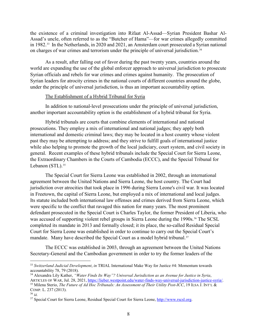the existence of a criminal investigation into Rifaat Al-Assad—Syrian President Bashar Al-Assad's uncle, often referred to as the "Butcher of Hama"—for war crimes allegedly committed in 1982[.33](#page-7-0) In the Netherlands, in 2020 and 2021, an Amsterdam court prosecuted a Syrian national on charges of war crimes and terrorism under the principle of universal jurisdiction.<sup>[34](#page-7-1)</sup>

As a result, after falling out of favor during the past twenty years, countries around the world are expanding the use of the global enforcer approach to universal jurisdiction to prosecute Syrian officials and rebels for war crimes and crimes against humanity. The prosecution of Syrian leaders for atrocity crimes in the national courts of different countries around the globe, under the principle of universal jurisdiction, is thus an important accountability option.

## The Establishment of a Hybrid Tribunal for Syria

In addition to national-level prosecutions under the principle of universal jurisdiction, another important accountability option is the establishment of a hybrid tribunal for Syria.

Hybrid tribunals are courts that combine elements of international and national prosecutions. They employ a mix of international and national judges; they apply both international and domestic criminal laws; they may be located in a host country whose violent past they may be attempting to address; and they strive to fulfill goals of international justice while also helping to promote the growth of the local judiciary, court system, and civil society in general. Recent examples of these hybrid tribunals include the Special Court for Sierra Leone, the Extraordinary Chambers in the Courts of Cambodia (ECCC), and the Special Tribunal for Lebanon (STL).<sup>[35](#page-7-2)</sup>

The Special Court for Sierra Leone was established in 2002, through an international agreement between the United Nations and Sierra Leone, the host country. The Court had jurisdiction over atrocities that took place in 1996 during Sierra Leone's civil war. It was located in Freetown, the capital of Sierra Leone, but employed a mix of international and local judges. Its statute included both international law offenses and crimes derived from Sierra Leone, which were specific to the conflict that ravaged this nation for many years. The most prominent defendant prosecuted in the Special Court is Charles Taylor, the former President of Liberia, who was accused of supporting violent rebel groups in Sierra Leone during the 1990s.<sup>[36](#page-7-3)</sup> The SCSL completed its mandate in 2013 and formally closed; it its place, the so-called Residual Special Court for Sierra Leone was established in order to continue to carry out the Special Court's mandate. Many have described the Special Court as a model hybrid tribunal.<sup>37</sup>

The ECCC was established in 2003, through an agreement between the United Nations Secretary-General and the Cambodian government in order to try the former leaders of the

<span id="page-7-0"></span><sup>33</sup> *Switzerland Judicial Development*, *in* TRIAL International Make Way for Justice #4: Momentum towards accountability 78, 79 (2018).

<span id="page-7-2"></span><span id="page-7-1"></span><sup>&</sup>lt;sup>34</sup> Alexandra Lily Kather, *"Water Finds Its Way"? Universal Jurisdiction as an Avenue for Justice in Syria*, ARTICLES OF WAR, Jul. 28, 2021, *https://lieber.westpoint.edu/water-finds-way-universal-jurisdiction-justice-sy* <sup>35</sup> Milena Sterio, The Future of Ad Hoc Tribunals: An Assessment of Their Utility Post-ICC, 19 ILSA J. INT'L & COMP. L. 237 (2013).

<span id="page-7-4"></span><span id="page-7-3"></span><sup>&</sup>lt;sup>36</sup> *Id.*<br><sup>37</sup> Special Court for Sierra Leone, Residual Special Court for Sierra Leone, [http://www.rscsl.org.](http://www.rscsl.org/)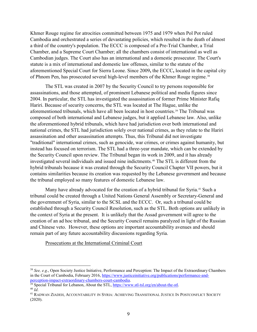Khmer Rouge regime for atrocities committed between 1975 and 1979 when Pol Pot ruled Cambodia and orchestrated a series of devastating policies, which resulted in the death of almost a third of the country's population. The ECCC is composed of a Pre-Trial Chamber, a Trial Chamber, and a Supreme Court Chamber; all the chambers consist of international as well as Cambodian judges. The Court also has an international and a domestic prosecutor. The Court's statute is a mix of international and domestic law offenses, similar to the statute of the aforementioned Special Court for Sierra Leone. Since 2009**,** the ECCC**,** located in the capital city of Phnom Pen, has prosecuted several high-level members of the Khmer Rouge regime.<sup>[38](#page-8-0)</sup>

The STL was created in 2007 by the Security Council to try persons responsible for assassinations, and those attempted, of prominent Lebanese political and media figures since 2004. In particular, the STL has investigated the assassination of former Prime Minister Rafiq Hariri. Because of security concerns, the STL was located at The Hague, unlike the aforementioned tribunals, which have all been located in host countries.[39](#page-8-1) The Tribunal was composed of both international and Lebanese judges, but it applied Lebanese law. Also, unlike the aforementioned hybrid tribunals, which have had jurisdiction over both international and national crimes, the STL had jurisdiction solely over national crimes, as they relate to the Hariri assassination and other assassination attempts. Thus, this Tribunal did not investigate "traditional" international crimes, such as genocide, war crimes, or crimes against humanity, but instead has focused on terrorism. The STL had a three-year mandate, which can be extended by the Security Council upon review. The Tribunal began its work in 2009, and it has already investigated several individuals and issued nine indictments.[40](#page-8-2) The STL is different from the hybrid tribunals because it was created through the Security Council Chapter VII powers, but it contains similarities because its creation was requested by the Lebanese government and because the tribunal employed so many features of domestic Lebanese law.

Many have already advocated for the creation of a hybrid tribunal for Syria.[41](#page-8-3) Such a tribunal could be created through a United Nations General Assembly or Secretary-General and the government of Syria, similar to the SCSL and the ECCC. Or, such a tribunal could be established through a Security Council Resolution, such as the STL. Both options are unlikely in the context of Syria at the present. It is unlikely that the Assad government will agree to the creation of an ad hoc tribunal, and the Security Council remains paralyzed in light of the Russian and Chinese veto. However, these options are important accountability avenues and should remain part of any future accountability discussions regarding Syria.

Prosecutions at the International Criminal Court

<span id="page-8-0"></span><sup>38</sup> *See, e.g*., Open Society Justice Initiative, Performance and Perception: The Impact of the Extraordinary Chambers in the Court of Cambodia, February 2016, [https://www.justiceinitiative.org/publications/performance-and-](https://www.justiceinitiative.org/publications/performance-and-perception-impact-extraordinary-chambers-court-cambodia)

<span id="page-8-1"></span>Perception-impact-extraordinary-chambers-court-cambodia.<br>
<sup>39</sup> Special Tribunal for Lebanon, About the STL, https://www.stl-tsl.org/en/about-the-stl.<br>
<sup>40</sup> Id.<br>
<sup>41</sup> RADWAN ZIADEH, ACCOUNTABILITY IN SYRIA: ACHIEVING TRANSI

<span id="page-8-3"></span><span id="page-8-2"></span><sup>(2020).</sup>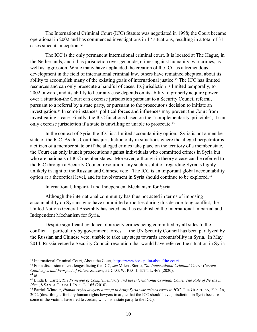The International Criminal Court (ICC) Statute was negotiated in 1998; the Court became operational in 2002 and has commenced investigations in 17 situations, resulting in a total of 31 cases since its inception.[42](#page-9-0)

The ICC is the only permanent international criminal court. It is located at The Hague, in the Netherlands, and it has jurisdiction over genocide, crimes against humanity, war crimes, as well as aggression. While many have applauded the creation of the ICC as a tremendous development in the field of international criminal law, others have remained skeptical about its ability to accomplish many of the existing goals of international justice.<sup>[43](#page-9-1)</sup> The ICC has limited resources and can only prosecute a handful of cases. Its jurisdiction is limited temporally, to 2002 onward, and its ability to hear any case depends on its ability to properly acquire power over a situation-the Court can exercise jurisdiction pursuant to a Security Council referral, pursuant to a referral by a state party, or pursuant to the prosecutor's decision to initiate an investigation.[44](#page-9-2) In some instances, political forces and influences may prevent the Court from investigating a case. Finally, the ICC functions based on the '"complementarity' principle"; it can only exercise jurisdiction if a state is unwilling or unable to prosecute.[45](#page-9-3)

In the context of Syria, the ICC is a limited accountability option. Syria is not a member state of the ICC. As this Court has jurisdiction only in situations where the alleged perpetrator is a citizen of a member state or if the alleged crimes take place on the territory of a member state, the Court can only launch prosecutions against individuals who committed crimes in Syria but who are nationals of ICC member states. Moreover, although in theory a case can be referred to the ICC through a Security Council resolution, any such resolution regarding Syria is highly unlikely in light of the Russian and Chinese veto. The ICC is an important global accountability option at a theoretical level, and its involvement in Syria should continue to be explored.[46](#page-9-4)

## International, Impartial and Independent Mechanism for Syria

Although the international community has thus not acted in terms of imposing accountability on Syrians who have committed atrocities during this decade-long conflict, the United Nations General Assembly has acted and has established the International Impartial and Independent Mechanism for Syria.

Despite significant evidence of atrocity crimes being committed by all sides to the conflict — particularly by government forces — the UN Security Council has been paralyzed by the Russian and Chinese veto, unable to take any steps towards accountability in Syria. In May 2014, Russia vetoed a Security Council resolution that would have referred the situation in Syria

<span id="page-9-1"></span><span id="page-9-0"></span><sup>&</sup>lt;sup>42</sup> International Criminal Court, About the Court, <u>https://www.icc-cpi.int/about/the-court</u>.<br><sup>43</sup> For a discussion of challenges facing the ICC, *see* Milena Sterio, *The International Criminal Court: Current Challenges* 

<span id="page-9-3"></span><span id="page-9-2"></span><sup>&</sup>lt;sup>44 Id.</sup><br><sup>45</sup> Linda E. Carter, *The Principle of Complementarity and the International Criminal Court: The Role of Ne Bis in Idem*, 8 SANTA CLARA J. INT'L L. 165 (2010).

<span id="page-9-4"></span><sup>46</sup> Patrick Wintour, *Human rights lawyers attempt to bring Syria war crimes cases to ICC*, THE GUARDIAN, Feb. 16, 2022 (describing efforts by human rights lawyers to argue that the ICC should have jurisdiction in Syria because some of the victims have fled to Jordan, which is a state party to the ICC).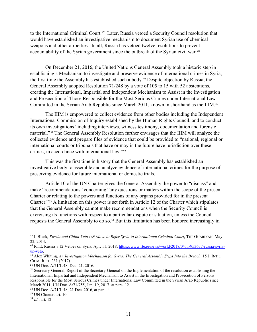to the International Criminal Court.<sup>[47](#page-10-0)</sup> Later, Russia vetoed a Security Council resolution that would have established an investigative mechanism to document Syrian use of chemical weapons and other atrocities. In all, Russia has vetoed twelve resolutions to prevent accountability of the Syrian government since the outbreak of the Syrian civil war.<sup>[48](#page-10-1)</sup>

On December 21, 2016, the United Nations General Assembly took a historic step in establishing a Mechanism to investigate and preserve evidence of international crimes in Syria, the first time the Assembly has established such a body.<sup>49</sup> Despite objection by Russia, the General Assembly adopted Resolution 71/248 by a vote of 105 to 15 with 52 abstentions, creating the International, Impartial and Independent Mechanism to Assist in the Investigation and Prosecution of Those Responsible for the Most Serious Crimes under International Law Committed in the Syrian Arab Republic since March 2011, known in shorthand as the IIIM.[50](#page-10-3)

The IIIM is empowered to collect evidence from other bodies including the Independent International Commission of Inquiry established by the Human Rights Council, and to conduct its own investigations "including interviews, witness testimony, documentation and forensic material."[51](#page-10-4) The General Assembly Resolution further envisages that the IIIM will analyze the collected evidence and prepare files of evidence that could be provided to "national, regional or international courts or tribunals that have or may in the future have jurisdiction over these crimes, in accordance with international law."[52](#page-10-5)

This was the first time in history that the General Assembly has established an investigative body to assemble and analyze evidence of international crimes for the purpose of preserving evidence for future international or domestic trials.

Article 10 of the UN Charter gives the General Assembly the power to "discuss" and make "recommendations" concerning "any questions or matters within the scope of the present Charter or relating to the powers and functions of any organs provided for in the present Charter."[53](#page-10-6) A limitation on this power is set forth in Article 12 of the Charter which stipulates that the General Assembly cannot make recommendations when the Security Council is exercising its functions with respect to a particular dispute or situation, unless the Council requests the General Assembly to do so.<sup>54</sup> But this limitation has been honored increasingly in

<span id="page-10-0"></span><sup>47</sup> I. Black, *Russia and China Veto UN Move to Refer Syria to International Criminal Court*, THE GUARDIAN, May

<span id="page-10-1"></span><sup>22, 2014.&</sup>lt;br><sup>48</sup> RTE, Russia's 12 Vetoes on Syria, Apr. 11, 2018, https://www.rte.ie/news/world/2018/0411/953637-russia-syria-<br><u>un-veto</u>.

<span id="page-10-2"></span><sup>&</sup>lt;sup>49</sup> Alex Whiting, *An Investigation Mechanism for Syria: The General Assembly Steps Into the Breach*, 15 J. INT'L CRIM. JUST. 231 (2017).

<span id="page-10-3"></span><sup>50</sup> UN Doc. A/71/L.48, Dec. 21, 2016.

<span id="page-10-4"></span><sup>&</sup>lt;sup>51</sup> Secretary-General, Report of the Secretary-General on the Implementation of the resolution establishing the International, Impartial and Independent Mechanism to Assist in the Investigation and Prosecution of Persons Responsible for the Most Serious Crimes under International Law Committed in the Syrian Arab Republic since March 2011, UN Doc. A/71/755, Jan. 19, 2017, at para. 12.

<span id="page-10-5"></span><sup>52</sup> UN Doc. A/71/L.48, 21 Dec. 2016, at para. 4. 53 UN Charter, art. 10. 54 *Id*., art. 12.

<span id="page-10-6"></span>

<span id="page-10-7"></span>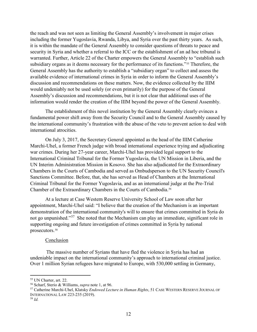the reach and was not seen as limiting the General Assembly's involvement in major crises including the former Yugoslavia, Rwanda, Libya, and Syria over the past thirty years. As such, it is within the mandate of the General Assembly to consider questions of threats to peace and security in Syria and whether a referral to the ICC or the establishment of an ad hoc tribunal is warranted. Further, Article 22 of the Charter empowers the General Assembly to "establish such subsidiary organs as it deems necessary for the performance of its functions."<sup>[55](#page-11-0)</sup> Therefore, the General Assembly has the authority to establish a "subsidiary organ" to collect and assess the available evidence of international crimes in Syria in order to inform the General Assembly's discussion and recommendations on these matters. Now, the evidence collected by the IIIM would undeniably not be used solely (or even primarily) for the purpose of the General Assembly's discussion and recommendations, but it is not clear that additional uses of the information would render the creation of the IIIM beyond the power of the General Assembly.

The establishment of this novel institution by the General Assembly clearly evinces a fundamental power shift away from the Security Council and to the General Assembly caused by the international community's frustration with the abuse of the veto to prevent action to deal with international atrocities.

On July 3, 2017, the Secretary General appointed as the head of the IIIM Catherine Marchi-Uhel, a former French judge with broad international experience trying and adjudicating war crimes. During her 27-year career, Marchi-Uhel has provided legal support to the International Criminal Tribunal for the Former Yugoslavia, the UN Mission in Liberia, and the UN Interim Administration Mission in Kosovo. She has also adjudicated for the Extraordinary Chambers in the Courts of Cambodia and served as Ombudsperson to the UN Security Council's Sanctions Committee. Before, that, she has served as Head of Chambers at the International Criminal Tribunal for the Former Yugoslavia, and as an international judge at the Pre-Trial Chamber of the Extraordinary Chambers in the Courts of Cambodia.[56](#page-11-1)

At a lecture at Case Western Reserve University School of Law soon after her appointment, Marchi-Uhel said: "I believe that the creation of the Mechanism is an important demonstration of the international community's will to ensure that crimes committed in Syria do not go unpunished."<sup>57</sup> She noted that the Mechanism can play an immediate, significant role in supporting ongoing and future investigation of crimes committed in Syria by national prosecutors.<sup>[58](#page-11-3)</sup>

# Conclusion

The massive number of Syrians that have fled the violence in Syria has had an undeniable impact on the international community's approach to international criminal justice. Over 1 million Syrian refugees have migrated to Europe, with 530,000 settling in Germany,

<span id="page-11-2"></span><span id="page-11-1"></span>

<span id="page-11-0"></span><sup>&</sup>lt;sup>55</sup> UN Charter, art. 22.<br><sup>56</sup> Scharf, Sterio & Williams, *supra* note 1, at 96.<br><sup>57</sup> Catherine Marchi-Uhel, Klatsky *Endowed Lecture in Human Rights*, 51 CASE WESTERN RESERVE JOURNAL OF INTERNATIONAL LAW 223-235 (2019). 58 *Id.*

<span id="page-11-3"></span>